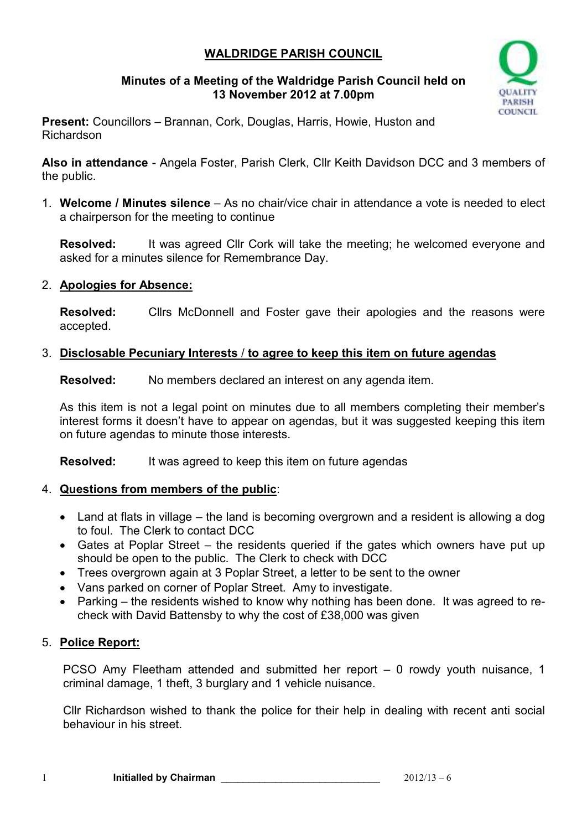# **WALDRIDGE PARISH COUNCIL**

### **Minutes of a Meeting of the Waldridge Parish Council held on 13 November 2012 at 7.00pm**

**Present:** Councillors – Brannan, Cork, Douglas, Harris, Howie, Huston and Richardson

**Also in attendance** - Angela Foster, Parish Clerk, Cllr Keith Davidson DCC and 3 members of the public.

1. **Welcome / Minutes silence** – As no chair/vice chair in attendance a vote is needed to elect a chairperson for the meeting to continue

**Resolved:** It was agreed Cllr Cork will take the meeting; he welcomed everyone and asked for a minutes silence for Remembrance Day.

### 2. **Apologies for Absence:**

**Resolved:** Cllrs McDonnell and Foster gave their apologies and the reasons were accepted.

### 3. **Disclosable Pecuniary Interests** / **to agree to keep this item on future agendas**

**Resolved:** No members declared an interest on any agenda item.

As this item is not a legal point on minutes due to all members completing their member's interest forms it doesn't have to appear on agendas, but it was suggested keeping this item on future agendas to minute those interests.

**Resolved:** It was agreed to keep this item on future agendas

# 4. **Questions from members of the public**:

- Land at flats in village the land is becoming overgrown and a resident is allowing a dog to foul. The Clerk to contact DCC
- Gates at Poplar Street the residents queried if the gates which owners have put up should be open to the public. The Clerk to check with DCC
- Trees overgrown again at 3 Poplar Street, a letter to be sent to the owner
- Vans parked on corner of Poplar Street. Amy to investigate.
- Parking the residents wished to know why nothing has been done. It was agreed to recheck with David Battensby to why the cost of £38,000 was given

# 5. **Police Report:**

PCSO Amy Fleetham attended and submitted her report – 0 rowdy youth nuisance, 1 criminal damage, 1 theft, 3 burglary and 1 vehicle nuisance.

Cllr Richardson wished to thank the police for their help in dealing with recent anti social behaviour in his street.

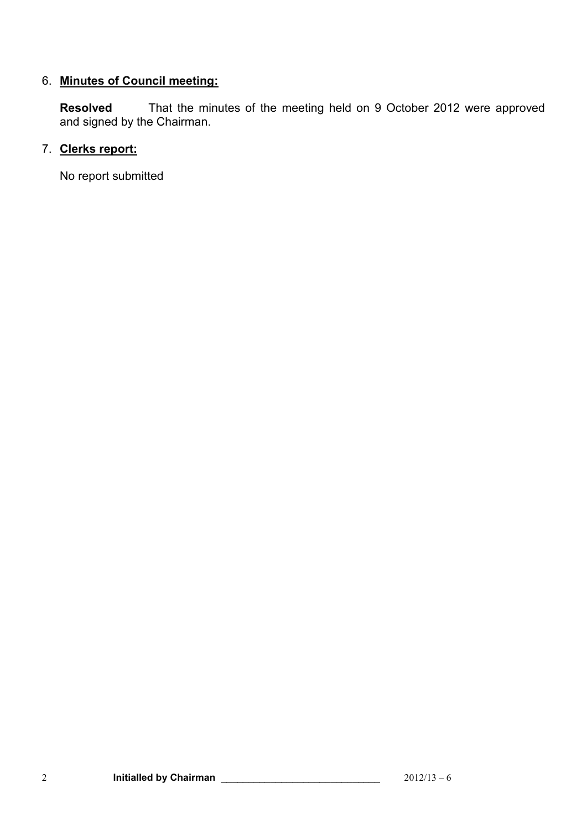# 6. **Minutes of Council meeting:**

**Resolved** That the minutes of the meeting held on 9 October 2012 were approved and signed by the Chairman.

# 7. **Clerks report:**

No report submitted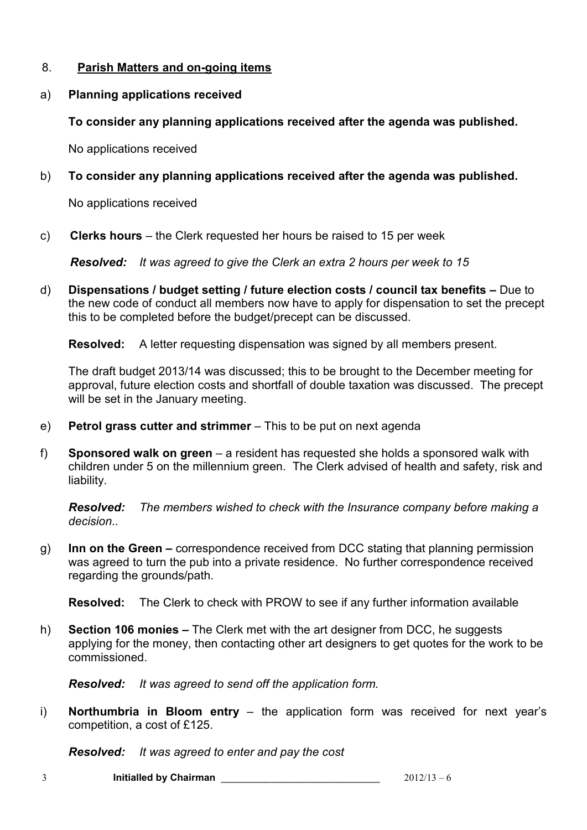# 8. **Parish Matters and on-going items**

### a) **Planning applications received**

# **To consider any planning applications received after the agenda was published.**

No applications received

# b) **To consider any planning applications received after the agenda was published.**

No applications received

c) **Clerks hours** – the Clerk requested her hours be raised to 15 per week

*Resolved: It was agreed to give the Clerk an extra 2 hours per week to 15* 

d) **Dispensations / budget setting / future election costs / council tax benefits –** Due to the new code of conduct all members now have to apply for dispensation to set the precept this to be completed before the budget/precept can be discussed.

**Resolved:** A letter requesting dispensation was signed by all members present.

The draft budget 2013/14 was discussed; this to be brought to the December meeting for approval, future election costs and shortfall of double taxation was discussed. The precept will be set in the January meeting.

- e) **Petrol grass cutter and strimmer**  This to be put on next agenda
- f) **Sponsored walk on green** a resident has requested she holds a sponsored walk with children under 5 on the millennium green. The Clerk advised of health and safety, risk and liability.

*Resolved: The members wished to check with the Insurance company before making a decision..* 

g) **Inn on the Green –** correspondence received from DCC stating that planning permission was agreed to turn the pub into a private residence. No further correspondence received regarding the grounds/path.

**Resolved:** The Clerk to check with PROW to see if any further information available

h) **Section 106 monies –** The Clerk met with the art designer from DCC, he suggests applying for the money, then contacting other art designers to get quotes for the work to be commissioned.

*Resolved: It was agreed to send off the application form.* 

i) **Northumbria in Bloom entry** – the application form was received for next year's competition, a cost of £125.

*Resolved: It was agreed to enter and pay the cost* 

3 **Initialled by Chairman** \_\_\_\_\_\_\_\_\_\_\_\_\_\_\_\_\_\_\_\_\_\_\_\_\_\_\_\_\_ 2012/13 – 6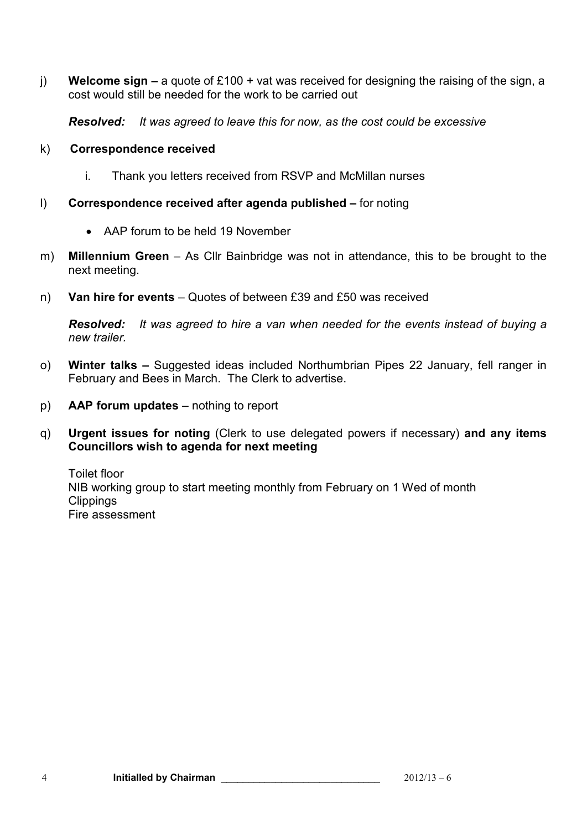j) **Welcome sign –** a quote of £100 + vat was received for designing the raising of the sign, a cost would still be needed for the work to be carried out

*Resolved: It was agreed to leave this for now, as the cost could be excessive* 

#### k) **Correspondence received**

- i. Thank you letters received from RSVP and McMillan nurses
- l) **Correspondence received after agenda published –** for noting
	- AAP forum to be held 19 November
- m) **Millennium Green** As Cllr Bainbridge was not in attendance, this to be brought to the next meeting.
- n) **Van hire for events**  Quotes of between £39 and £50 was received

*Resolved: It was agreed to hire a van when needed for the events instead of buying a new trailer.*

- o) **Winter talks** Suggested ideas included Northumbrian Pipes 22 January, fell ranger in February and Bees in March. The Clerk to advertise.
- p) **AAP forum updates**  nothing to report
- q) **Urgent issues for noting** (Clerk to use delegated powers if necessary) **and any items Councillors wish to agenda for next meeting**

Toilet floor NIB working group to start meeting monthly from February on 1 Wed of month **Clippings** Fire assessment